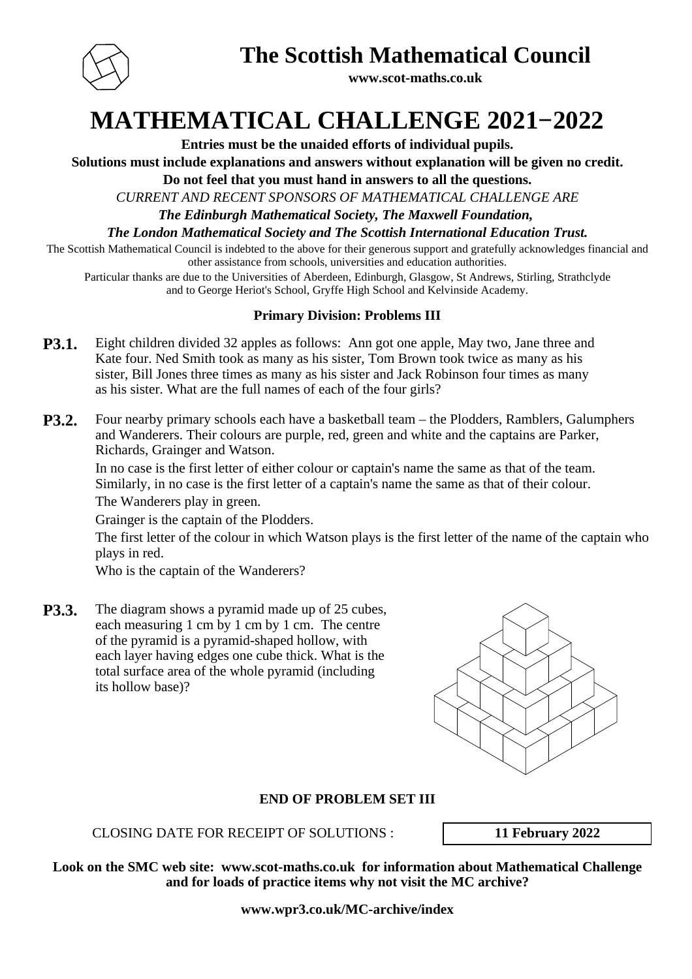

**The Scottish Mathematical Council**

**www.scot-maths.co.uk**

**MATHEMATICAL CHALLENGE 2021−2022**

**Entries must be the unaided efforts of individual pupils.**

**Solutions must include explanations and answers without explanation will be given no credit.**

**Do not feel that you must hand in answers to all the questions.**

*CURRENT AND RECENT SPONSORS OF MATHEMATICAL CHALLENGE ARE*

*The Edinburgh Mathematical Society, The Maxwell Foundation,* 

*The London Mathematical Society and The Scottish International Education Trust.*

The Scottish Mathematical Council is indebted to the above for their generous support and gratefully acknowledges financial and other assistance from schools, universities and education authorities.

Particular thanks are due to the Universities of Aberdeen, Edinburgh, Glasgow, St Andrews, Stirling, Strathclyde and to George Heriot's School, Gryffe High School and Kelvinside Academy.

## **Primary Division: Problems III**

- **P3.1.** Eight children divided 32 apples as follows: Ann got one apple, May two, Jane three and Kate four. Ned Smith took as many as his sister, Tom Brown took twice as many as his sister, Bill Jones three times as many as his sister and Jack Robinson four times as many as his sister. What are the full names of each of the four girls?
- **P3.2.** Four nearby primary schools each have a basketball team the Plodders, Ramblers, Galumphers and Wanderers. Their colours are purple, red, green and white and the captains are Parker, Richards, Grainger and Watson.

In no case is the first letter of either colour or captain's name the same as that of the team. Similarly, in no case is the first letter of a captain's name the same as that of their colour.

The Wanderers play in green.

Grainger is the captain of the Plodders.

The first letter of the colour in which Watson plays is the first letter of the name of the captain who plays in red.

Who is the captain of the Wanderers?

**P3.3.** The diagram shows a pyramid made up of 25 cubes, each measuring 1 cm by 1 cm by 1 cm. The centre of the pyramid is a pyramid-shaped hollow, with each layer having edges one cube thick. What is the total surface area of the whole pyramid (including its hollow base)?



## **END OF PROBLEM SET III**

CLOSING DATE FOR RECEIPT OF SOLUTIONS : **11 February 2022**

**Look on the SMC web site: www.scot-maths.co.uk for information about Mathematical Challenge and for loads of practice items why not visit the MC archive?**

**www.wpr3.co.uk/MC-archive/index**